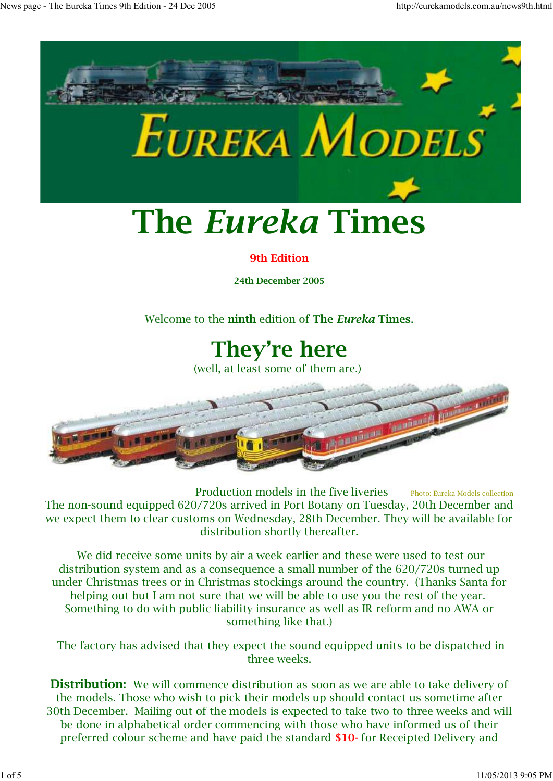

Production models in the five liveries Photo: Eureka Models collection The non-sound equipped 620/720s arrived in Port Botany on Tuesday, 20th December and we expect them to clear customs on Wednesday, 28th December. They will be available for distribution shortly thereafter.

 We did receive some units by air a week earlier and these were used to test our distribution system and as a consequence a small number of the 620/720s turned up under Christmas trees or in Christmas stockings around the country. (Thanks Santa for helping out but I am not sure that we will be able to use you the rest of the year. Something to do with public liability insurance as well as IR reform and no AWA or something like that.)

 The factory has advised that they expect the sound equipped units to be dispatched in three weeks.

**Distribution:** We will commence distribution as soon as we are able to take delivery of the models. Those who wish to pick their models up should contact us sometime after 30th December. Mailing out of the models is expected to take two to three weeks and will be done in alphabetical order commencing with those who have informed us of their preferred colour scheme and have paid the standard **\$10-** for Receipted Delivery and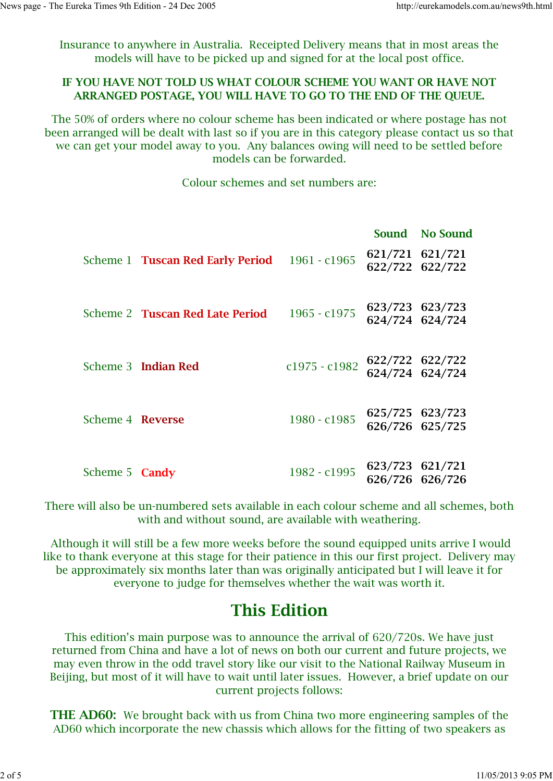Insurance to anywhere in Australia. Receipted Delivery means that in most areas the models will have to be picked up and signed for at the local post office.

#### **IF YOU HAVE NOT TOLD US WHAT COLOUR SCHEME YOU WANT OR HAVE NOT ARRANGED POSTAGE, YOU WILL HAVE TO GO TO THE END OF THE QUEUE.**

The 50% of orders where no colour scheme has been indicated or where postage has not been arranged will be dealt with last so if you are in this category please contact us so that we can get your model away to you. Any balances owing will need to be settled before models can be forwarded.

Colour schemes and set numbers are:

|                       |                                         |                 | Sound No Sound                     |
|-----------------------|-----------------------------------------|-----------------|------------------------------------|
|                       | Scheme 1 <b>Tuscan Red Early Period</b> | $1961 - c1965$  | 621/721 621/721<br>622/722 622/722 |
|                       | Scheme 2 <b>Tuscan Red Late Period</b>  | 1965 - c1975    | 623/723 623/723<br>624/724 624/724 |
|                       | Scheme 3 Indian Red                     | $c1975 - c1982$ | 622/722 622/722<br>624/724 624/724 |
| Scheme 4 Reverse      |                                         | 1980 - c1985    | 625/725 623/723<br>626/726 625/725 |
| Scheme 5 <b>Candy</b> |                                         | 1982 - c1995    | 623/723 621/721<br>626/726 626/726 |

There will also be un-numbered sets available in each colour scheme and all schemes, both with and without sound, are available with weathering.

 Although it will still be a few more weeks before the sound equipped units arrive I would like to thank everyone at this stage for their patience in this our first project. Delivery may be approximately six months later than was originally anticipated but I will leave it for everyone to judge for themselves whether the wait was worth it.

#### **This Edition**

This edition's main purpose was to announce the arrival of 620/720s. We have just returned from China and have a lot of news on both our current and future projects, we may even throw in the odd travel story like our visit to the National Railway Museum in Beijing, but most of it will have to wait until later issues. However, a brief update on our current projects follows:

**THE AD60:** We brought back with us from China two more engineering samples of the AD60 which incorporate the new chassis which allows for the fitting of two speakers as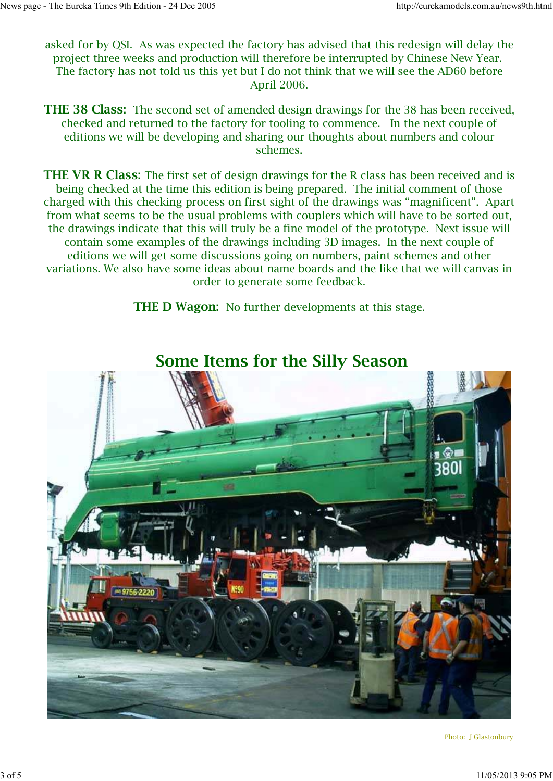asked for by QSI. As was expected the factory has advised that this redesign will delay the project three weeks and production will therefore be interrupted by Chinese New Year. The factory has not told us this yet but I do not think that we will see the AD60 before April 2006.

**THE 38 Class:** The second set of amended design drawings for the 38 has been received, checked and returned to the factory for tooling to commence. In the next couple of editions we will be developing and sharing our thoughts about numbers and colour schemes.

**THE VR R Class:** The first set of design drawings for the R class has been received and is being checked at the time this edition is being prepared. The initial comment of those charged with this checking process on first sight of the drawings was "magnificent". Apart from what seems to be the usual problems with couplers which will have to be sorted out, the drawings indicate that this will truly be a fine model of the prototype. Next issue will contain some examples of the drawings including 3D images. In the next couple of editions we will get some discussions going on numbers, paint schemes and other variations. We also have some ideas about name boards and the like that we will canvas in order to generate some feedback.

**THE D Wagon:** No further developments at this stage.



 **Some Items for the Silly Season**

Photo: J Glastonbury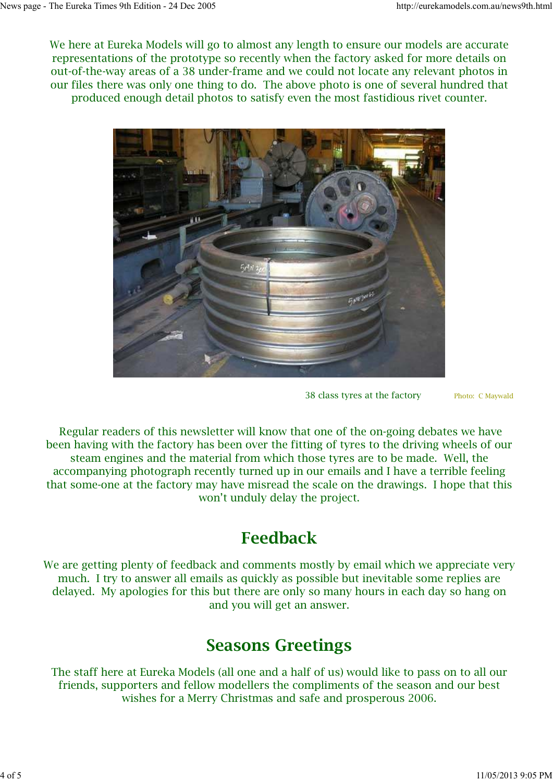We here at Eureka Models will go to almost any length to ensure our models are accurate representations of the prototype so recently when the factory asked for more details on out-of-the-way areas of a 38 under-frame and we could not locate any relevant photos in our files there was only one thing to do. The above photo is one of several hundred that produced enough detail photos to satisfy even the most fastidious rivet counter.



38 class tyres at the factoryPhoto: C Maywald

 Regular readers of this newsletter will know that one of the on-going debates we have been having with the factory has been over the fitting of tyres to the driving wheels of our steam engines and the material from which those tyres are to be made. Well, the accompanying photograph recently turned up in our emails and I have a terrible feeling that some-one at the factory may have misread the scale on the drawings. I hope that this won't unduly delay the project.

## **Feedback**

We are getting plenty of feedback and comments mostly by email which we appreciate very much. I try to answer all emails as quickly as possible but inevitable some replies are delayed. My apologies for this but there are only so many hours in each day so hang on and you will get an answer.

### **Seasons Greetings**

The staff here at Eureka Models (all one and a half of us) would like to pass on to all our friends, supporters and fellow modellers the compliments of the season and our best wishes for a Merry Christmas and safe and prosperous 2006.